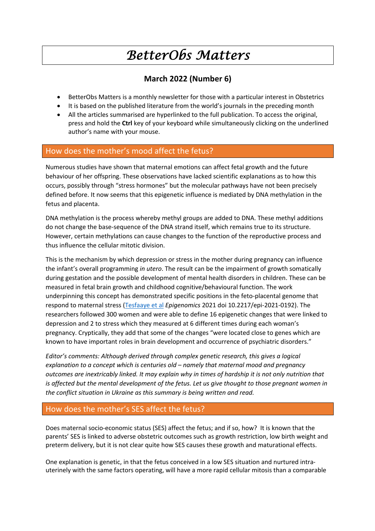# *BetterObs Matters*

# **March 2022 (Number 6)**

- BetterObs Matters is a monthly newsletter for those with a particular interest in Obstetrics
- It is based on the published literature from the world's journals in the preceding month
- All the articles summarised are hyperlinked to the full publication. To access the original, press and hold the **Ctrl** key of your keyboard while simultaneously clicking on the underlined author's name with your mouse.

## How does the mother's mood affect the fetus?

Numerous studies have shown that maternal emotions can affect fetal growth and the future behaviour of her offspring. These observations have lacked scientific explanations as to how this occurs, possibly through "stress hormones" but the molecular pathways have not been precisely defined before. It now seems that this epigenetic influence is mediated by DNA methylation in the fetus and placenta.

DNA methylation is the process whereby methyl groups are added to DNA. These methyl additions do not change the base-sequence of the DNA strand itself, which remains true to its structure. However, certain methylations can cause changes to the function of the reproductive process and thus influence the cellular mitotic division.

This is the mechanism by which depression or stress in the mother during pregnancy can influence the infant's overall programming *in utero*. The result can be the impairment of growth somatically during gestation and the possible development of mental health disorders in children. These can be measured in fetal brain growth and childhood cognitive/behavioural function. The work underpinning this concept has demonstrated specific positions in the feto-placental genome that respond to maternal stress (Tesfaaye et al *Epigenomics* 2021 doi 10.2217/epi-2021-0192). The researchers followed 300 women and were able to define 16 epigenetic changes that were linked to depression and 2 to stress which they measured at 6 different times during each woman's pregnancy. Cryptically, they add that some of the changes "were located close to genes which are known to have important roles in brain development and occurrence of psychiatric disorders."

*Editor's comments: Although derived through complex genetic research, this gives a logical explanation to a concept which is centuries old – namely that maternal mood and pregnancy outcomes are inextricably linked. It may explain why in times of hardship it is not only nutrition that is affected but the mental development of the fetus. Let us give thought to those pregnant women in the conflict situation in Ukraine as this summary is being written and read.*

## How does the mother's SES affect the fetus?

Does maternal socio-economic status (SES) affect the fetus; and if so, how? It is known that the parents' SES is linked to adverse obstetric outcomes such as growth restriction, low birth weight and preterm delivery, but it is not clear quite how SES causes these growth and maturational effects.

One explanation is genetic, in that the fetus conceived in a low SES situation and nurtured intrauterinely with the same factors operating, will have a more rapid cellular mitosis than a comparable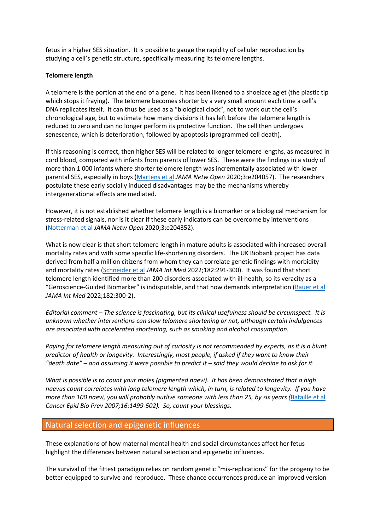fetus in a higher SES situation. It is possible to gauge the rapidity of cellular reproduction by studying a cell's genetic structure, specifically measuring its telomere lengths.

#### **Telomere length**

A telomere is the portion at the end of a gene. It has been likened to a shoelace aglet (the plastic tip which stops it fraying). The telomere becomes shorter by a very small amount each time a cell's DNA replicates itself. It can thus be used as a "biological clock", not to work out the cell's chronological age, but to estimate how many divisions it has left before the telomere length is reduced to zero and can no longer perform its protective function. The cell then undergoes senescence, which is deterioration, followed by apoptosis (programmed cell death).

If this reasoning is correct, then higher SES will be related to longer telomere lengths, as measured in cord blood, compared with infants from parents of lower SES. These were the findings in a study of more than 1 000 infants where shorter telomere length was incrementally associated with lower parental SES, especially in boys (Martens et al *JAMA Netw Open* 2020;3:e204057). The researchers postulate these early socially induced disadvantages may be the mechanisms whereby intergenerational effects are mediated.

However, it is not established whether telomere length is a biomarker or a biological mechanism for stress-related signals, nor is it clear if these early indicators can be overcome by interventions (Notterman et al *JAMA Netw Open* 2020;3:e204352).

What is now clear is that short telomere length in mature adults is associated with increased overall mortality rates and with some specific life-shortening disorders. The UK Biobank project has data derived from half a million citizens from whom they can correlate genetic findings with morbidity and mortality rates (Schneider et al *JAMA Int Med* 2022;182:291-300). It was found that short telomere length identified more than 200 disorders associated with ill-health, so its veracity as a "Geroscience-Guided Biomarker" is indisputable, and that now demands interpretation (Bauer et al *JAMA Int Med* 2022;182:300-2).

*Editorial comment – The science is fascinating, but its clinical usefulness should be circumspect. It is unknown whether interventions can slow telomere shortening or not, although certain indulgences are associated with accelerated shortening, such as smoking and alcohol consumption.*

*Paying for telomere length measuring out of curiosity is not recommended by experts, as it is a blunt predictor of health or longevity. Interestingly, most people, if asked if they want to know their "death date" – and assuming it were possible to predict it – said they would decline to ask for it.*

*What is possible is to count your moles (pigmented naevi). It has been demonstrated that a high naevus count correlates with long telomere length which, in turn, is related to longevity. If you have more than 100 naevi, you will probably outlive someone with less than 25, by six years (*Bataille et al *Cancer Epid Bio Prev 2007;16:1499-502). So, count your blessings.*

#### Natural selection and epigenetic influences

These explanations of how maternal mental health and social circumstances affect her fetus highlight the differences between natural selection and epigenetic influences.

The survival of the fittest paradigm relies on random genetic "mis-replications" for the progeny to be better equipped to survive and reproduce. These chance occurrences produce an improved version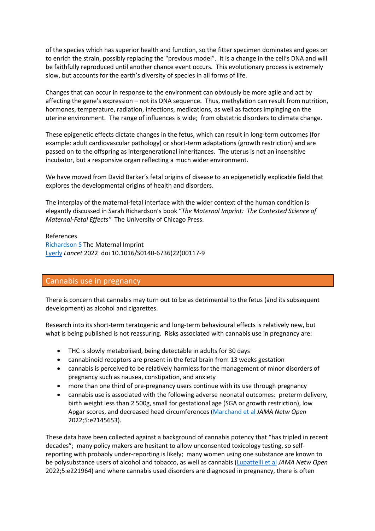of the species which has superior health and function, so the fitter specimen dominates and goes on to enrich the strain, possibly replacing the "previous model". It is a change in the cell's DNA and will be faithfully reproduced until another chance event occurs. This evolutionary process is extremely slow, but accounts for the earth's diversity of species in all forms of life.

Changes that can occur in response to the environment can obviously be more agile and act by affecting the gene's expression – not its DNA sequence. Thus, methylation can result from nutrition, hormones, temperature, radiation, infections, medications, as well as factors impinging on the uterine environment. The range of influences is wide; from obstetric disorders to climate change.

These epigenetic effects dictate changes in the fetus, which can result in long-term outcomes (for example: adult cardiovascular pathology) or short-term adaptations (growth restriction) and are passed on to the offspring as intergenerational inheritances. The uterus is not an insensitive incubator, but a responsive organ reflecting a much wider environment.

We have moved from David Barker's fetal origins of disease to an epigeneticlly explicable field that explores the developmental origins of health and disorders.

The interplay of the maternal-fetal interface with the wider context of the human condition is elegantly discussed in Sarah Richardson's book "*The Maternal Imprint: The Contested Science of Maternal-Fetal Effects"* The University of Chicago Press.

References Richardson S The Maternal Imprint Lyerly *Lancet* 2022 doi 10.1016/S0140-6736(22)00117-9

### Cannabis use in pregnancy

There is concern that cannabis may turn out to be as detrimental to the fetus (and its subsequent development) as alcohol and cigarettes.

Research into its short-term teratogenic and long-term behavioural effects is relatively new, but what is being published is not reassuring. Risks associated with cannabis use in pregnancy are:

- THC is slowly metabolised, being detectable in adults for 30 days
- cannabinoid receptors are present in the fetal brain from 13 weeks gestation
- cannabis is perceived to be relatively harmless for the management of minor disorders of pregnancy such as nausea, constipation, and anxiety
- more than one third of pre-pregnancy users continue with its use through pregnancy
- cannabis use is associated with the following adverse neonatal outcomes: preterm delivery, birth weight less than 2 500g, small for gestational age (SGA or growth restriction), low Apgar scores, and decreased head circumferences (Marchand et al *JAMA Netw Open* 2022;5:e2145653).

These data have been collected against a background of cannabis potency that "has tripled in recent decades"; many policy makers are hesitant to allow unconsented toxicology testing, so selfreporting with probably under-reporting is likely; many women using one substance are known to be polysubstance users of alcohol and tobacco, as well as cannabis (Lupattelli et al *JAMA Netw Open* 2022;5:e221964) and where cannabis used disorders are diagnosed in pregnancy, there is often